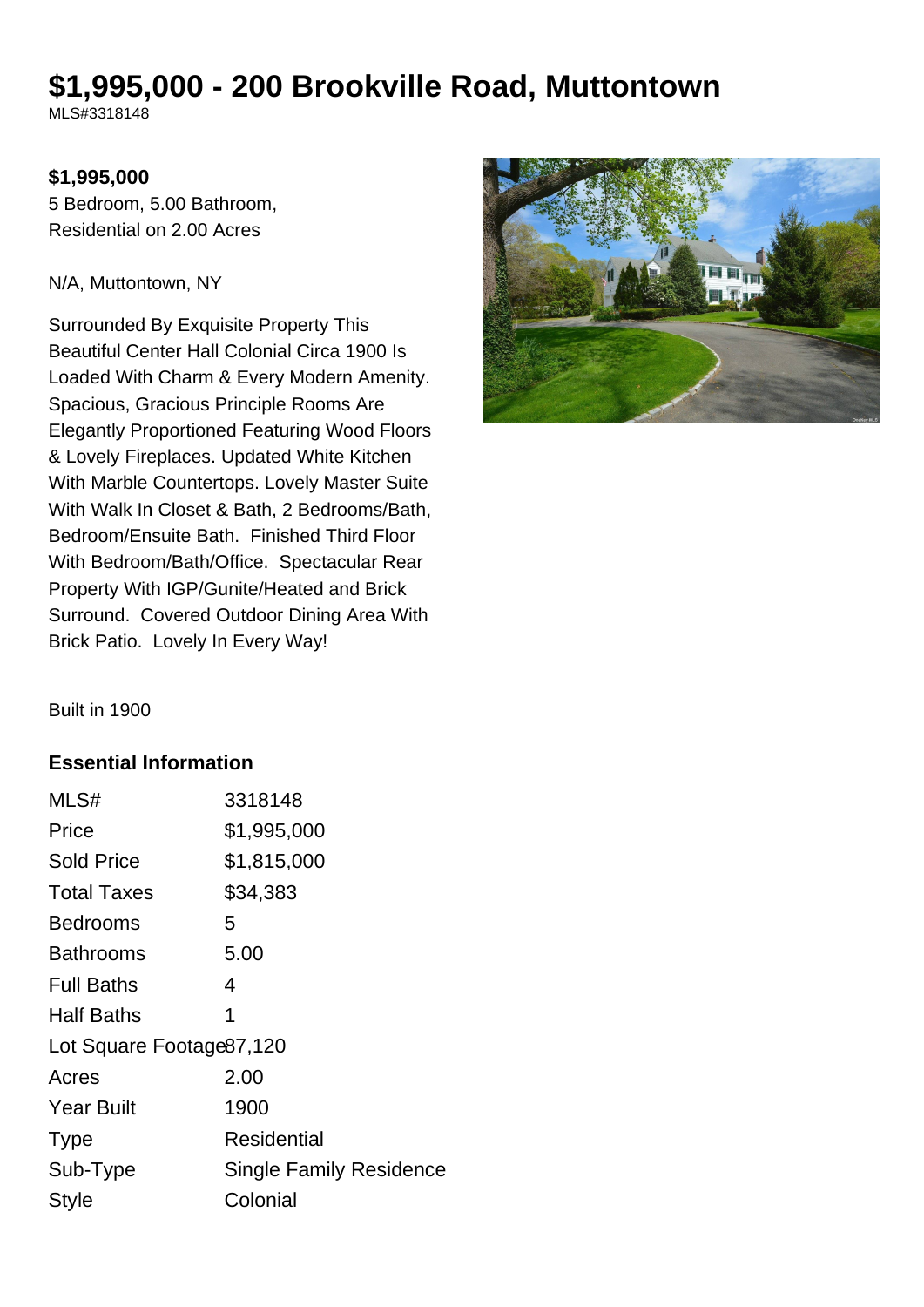# **\$1,995,000 - 200 Brookville Road, Muttontown**

MLS#3318148

#### **\$1,995,000**

5 Bedroom, 5.00 Bathroom, Residential on 2.00 Acres

#### N/A, Muttontown, NY

Surrounded By Exquisite Property This Beautiful Center Hall Colonial Circa 1900 Is Loaded With Charm & Every Modern Amenity. Spacious, Gracious Principle Rooms Are Elegantly Proportioned Featuring Wood Floors & Lovely Fireplaces. Updated White Kitchen With Marble Countertops. Lovely Master Suite With Walk In Closet & Bath, 2 Bedrooms/Bath, Bedroom/Ensuite Bath. Finished Third Floor With Bedroom/Bath/Office. Spectacular Rear Property With IGP/Gunite/Heated and Brick Surround. Covered Outdoor Dining Area With Brick Patio. Lovely In Every Way!



Built in 1900

#### **Essential Information**

| MLS#                      | 3318148                        |  |
|---------------------------|--------------------------------|--|
| Price                     | \$1,995,000                    |  |
| <b>Sold Price</b>         | \$1,815,000                    |  |
| <b>Total Taxes</b>        | \$34,383                       |  |
| Bedrooms                  | 5                              |  |
| <b>Bathrooms</b>          | 5.00                           |  |
| <b>Full Baths</b>         | 4                              |  |
| <b>Half Baths</b>         | 1                              |  |
| Lot Square Footage 87,120 |                                |  |
| Acres                     | 2.00                           |  |
| <b>Year Built</b>         | 1900                           |  |
| <b>Type</b>               | Residential                    |  |
| Sub-Type                  | <b>Single Family Residence</b> |  |
| <b>Style</b>              | Colonial                       |  |
|                           |                                |  |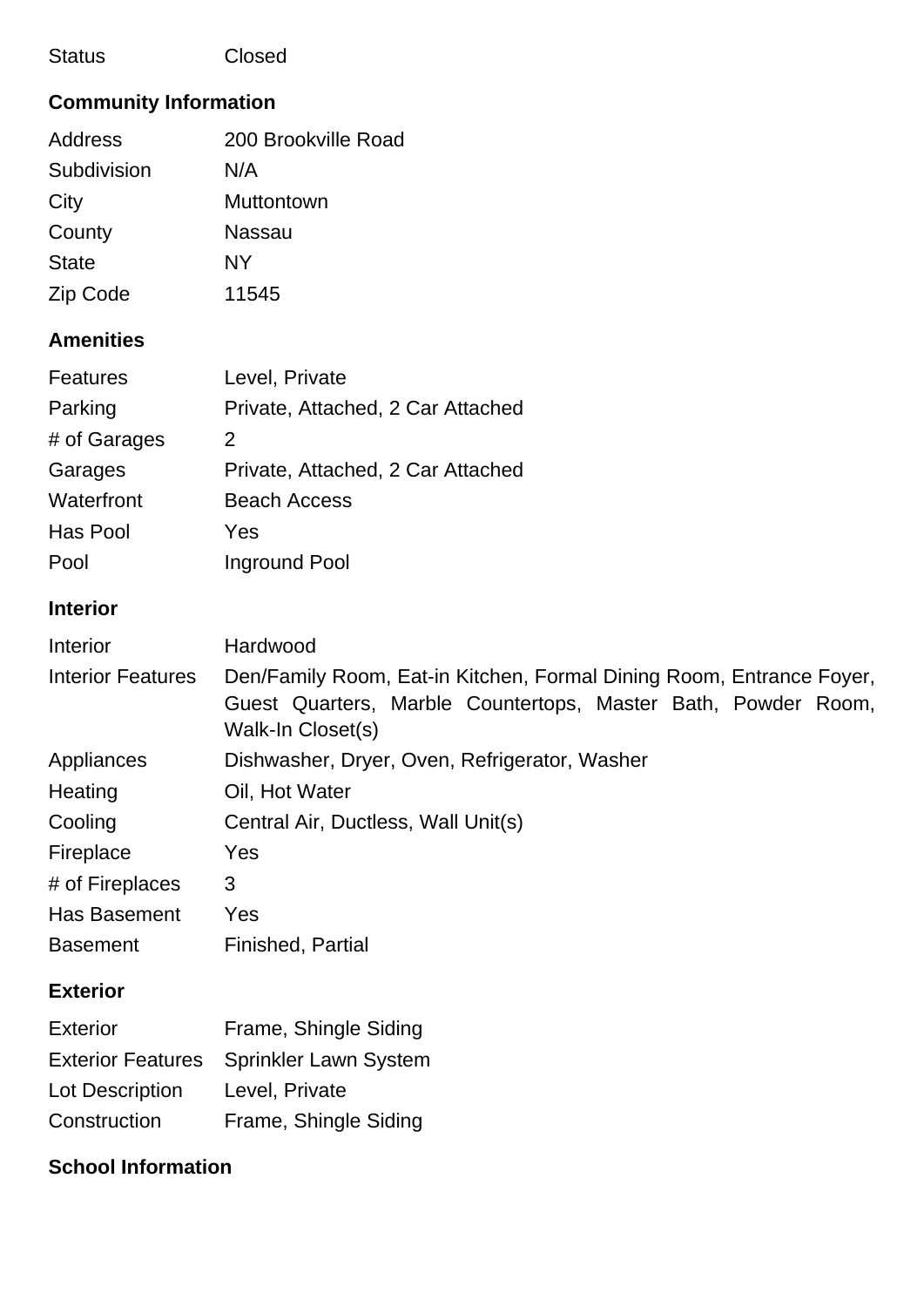#### Status Closed

## **Community Information**

| 200 Brookville Road |
|---------------------|
| N/A                 |
| <b>Muttontown</b>   |
| Nassau              |
| NY                  |
| 11545               |
|                     |

## **Amenities**

| <b>Features</b> | Level, Private                    |
|-----------------|-----------------------------------|
| Parking         | Private, Attached, 2 Car Attached |
| # of Garages    | 2                                 |
| Garages         | Private, Attached, 2 Car Attached |
| Waterfront      | <b>Beach Access</b>               |
| Has Pool        | Yes                               |
| Pool            | Inground Pool                     |

### **Interior**

| Interior                 | Hardwood                                                                                                                                                   |
|--------------------------|------------------------------------------------------------------------------------------------------------------------------------------------------------|
| <b>Interior Features</b> | Den/Family Room, Eat-in Kitchen, Formal Dining Room, Entrance Foyer,<br>Guest Quarters, Marble Countertops, Master Bath, Powder Room,<br>Walk-In Closet(s) |
| Appliances               | Dishwasher, Dryer, Oven, Refrigerator, Washer                                                                                                              |
| Heating                  | Oil, Hot Water                                                                                                                                             |
| Cooling                  | Central Air, Ductless, Wall Unit(s)                                                                                                                        |
| Fireplace                | Yes                                                                                                                                                        |
| # of Fireplaces          | 3                                                                                                                                                          |
| <b>Has Basement</b>      | Yes                                                                                                                                                        |
| <b>Basement</b>          | Finished, Partial                                                                                                                                          |

## **Exterior**

| <b>Exterior</b>          | Frame, Shingle Siding        |
|--------------------------|------------------------------|
| <b>Exterior Features</b> | <b>Sprinkler Lawn System</b> |
| <b>Lot Description</b>   | Level, Private               |
| Construction             | Frame, Shingle Siding        |

## **School Information**